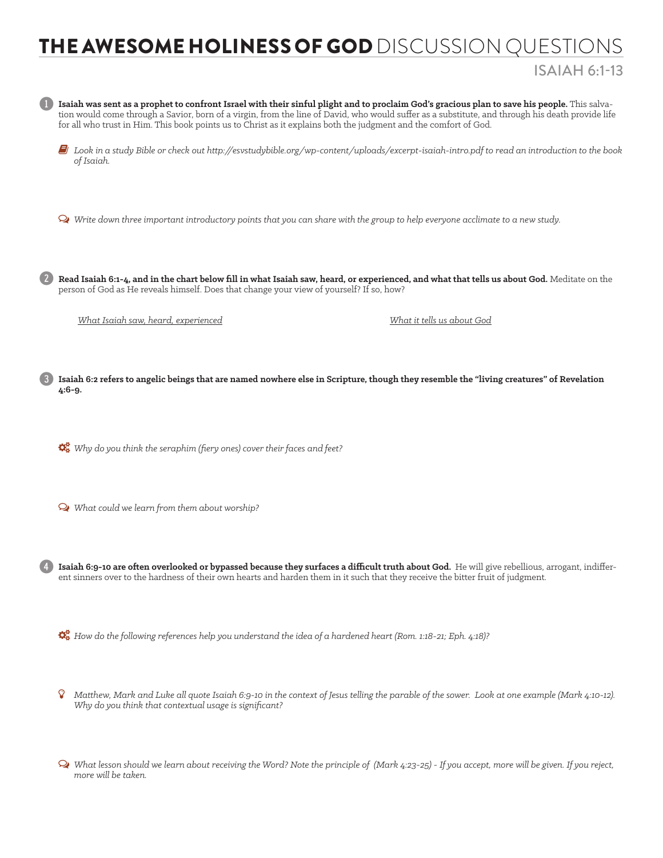## THE AWESOME HOLINESS OF GOD DISCUSSION QUESTIONS

## ISAIAH 6:1-13



Ø *What lesson should we learn about receiving the Word? Note the principle of (Mark 4:23-25) - If you accept, more will be given. If you reject, more will be taken.*